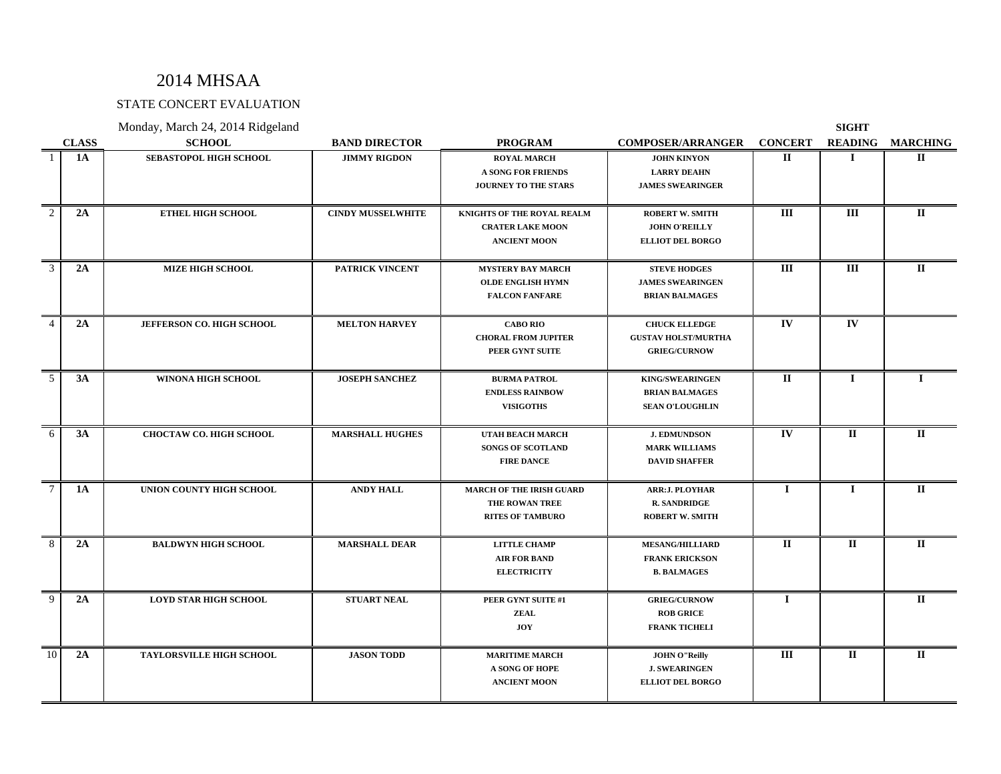# STATE CONCERT EVALUATION

|                |              | Monday, March 24, 2014 Ridgeland |                          |                                 |                            |                | <b>SIGHT</b>             |                 |
|----------------|--------------|----------------------------------|--------------------------|---------------------------------|----------------------------|----------------|--------------------------|-----------------|
|                | <b>CLASS</b> | <b>SCHOOL</b>                    | <b>BAND DIRECTOR</b>     | <b>PROGRAM</b>                  | <b>COMPOSER/ARRANGER</b>   | <b>CONCERT</b> | <b>READING</b>           | <b>MARCHING</b> |
|                | <b>1A</b>    | <b>SEBASTOPOL HIGH SCHOOL</b>    | <b>JIMMY RIGDON</b>      | <b>ROYAL MARCH</b>              | <b>JOHN KINYON</b>         | $\mathbf{I}$   | Т.                       | $\Pi$           |
|                |              |                                  |                          | <b>A SONG FOR FRIENDS</b>       | <b>LARRY DEAHN</b>         |                |                          |                 |
|                |              |                                  |                          | JOURNEY TO THE STARS            | <b>JAMES SWEARINGER</b>    |                |                          |                 |
|                |              |                                  |                          |                                 |                            |                |                          |                 |
| $\overline{2}$ | 2A           | <b>ETHEL HIGH SCHOOL</b>         | <b>CINDY MUSSELWHITE</b> | KNIGHTS OF THE ROYAL REALM      | <b>ROBERT W. SMITH</b>     | III            | III                      | $\mathbf{I}$    |
|                |              |                                  |                          | <b>CRATER LAKE MOON</b>         | <b>JOHN O'REILLY</b>       |                |                          |                 |
|                |              |                                  |                          | <b>ANCIENT MOON</b>             | <b>ELLIOT DEL BORGO</b>    |                |                          |                 |
| 3              | 2A           | <b>MIZE HIGH SCHOOL</b>          | <b>PATRICK VINCENT</b>   | <b>MYSTERY BAY MARCH</b>        | <b>STEVE HODGES</b>        | III            | III                      | $\Pi$           |
|                |              |                                  |                          | <b>OLDE ENGLISH HYMN</b>        | <b>JAMES SWEARINGEN</b>    |                |                          |                 |
|                |              |                                  |                          | <b>FALCON FANFARE</b>           | <b>BRIAN BALMAGES</b>      |                |                          |                 |
|                |              |                                  |                          |                                 |                            |                |                          |                 |
| $\overline{4}$ | 2A           | JEFFERSON CO. HIGH SCHOOL        | <b>MELTON HARVEY</b>     | <b>CABO RIO</b>                 | <b>CHUCK ELLEDGE</b>       | $\mathbf{IV}$  | $\overline{\mathbf{IV}}$ |                 |
|                |              |                                  |                          | <b>CHORAL FROM JUPITER</b>      | <b>GUSTAV HOLST/MURTHA</b> |                |                          |                 |
|                |              |                                  |                          | PEER GYNT SUITE                 | <b>GRIEG/CURNOW</b>        |                |                          |                 |
|                |              |                                  |                          |                                 |                            |                |                          |                 |
| $\overline{5}$ | 3A           | WINONA HIGH SCHOOL               | <b>JOSEPH SANCHEZ</b>    | <b>BURMA PATROL</b>             | <b>KING/SWEARINGEN</b>     | $\mathbf{I}$   | $\mathbf{I}$             |                 |
|                |              |                                  |                          | <b>ENDLESS RAINBOW</b>          | <b>BRIAN BALMAGES</b>      |                |                          |                 |
|                |              |                                  |                          | <b>VISIGOTHS</b>                | <b>SEAN O'LOUGHLIN</b>     |                |                          |                 |
|                |              |                                  |                          |                                 |                            |                |                          |                 |
| 6              | 3A           | <b>CHOCTAW CO. HIGH SCHOOL</b>   | <b>MARSHALL HUGHES</b>   | <b>UTAH BEACH MARCH</b>         | <b>J. EDMUNDSON</b>        | $\mathbf{IV}$  | $\mathbf{I}$             | $\Pi$           |
|                |              |                                  |                          | <b>SONGS OF SCOTLAND</b>        | <b>MARK WILLIAMS</b>       |                |                          |                 |
|                |              |                                  |                          | <b>FIRE DANCE</b>               | <b>DAVID SHAFFER</b>       |                |                          |                 |
| $\tau$         | <b>1A</b>    | UNION COUNTY HIGH SCHOOL         | <b>ANDY HALL</b>         | <b>MARCH OF THE IRISH GUARD</b> | ARR: J. PLOYHAR            | $\mathbf I$    | $\mathbf{I}$             | $\Pi$           |
|                |              |                                  |                          | THE ROWAN TREE                  | <b>R. SANDRIDGE</b>        |                |                          |                 |
|                |              |                                  |                          | <b>RITES OF TAMBURO</b>         | <b>ROBERT W. SMITH</b>     |                |                          |                 |
|                |              |                                  |                          |                                 |                            |                |                          |                 |
| 8              | 2A           | <b>BALDWYN HIGH SCHOOL</b>       | <b>MARSHALL DEAR</b>     | <b>LITTLE CHAMP</b>             | <b>MESANG/HILLIARD</b>     | $\mathbf{I}$   | $\mathbf{I}$             | $\mathbf{I}$    |
|                |              |                                  |                          | <b>AIR FOR BAND</b>             | <b>FRANK ERICKSON</b>      |                |                          |                 |
|                |              |                                  |                          | <b>ELECTRICITY</b>              | <b>B. BALMAGES</b>         |                |                          |                 |
| $\overline{9}$ | 2A           | <b>LOYD STAR HIGH SCHOOL</b>     | <b>STUART NEAL</b>       | PEER GYNT SUITE #1              | <b>GRIEG/CURNOW</b>        | $\mathbf I$    |                          | $\Pi$           |
|                |              |                                  |                          | ZEAL                            | <b>ROB GRICE</b>           |                |                          |                 |
|                |              |                                  |                          | <b>JOY</b>                      | <b>FRANK TICHELI</b>       |                |                          |                 |
|                |              |                                  |                          |                                 |                            |                |                          |                 |
| 10             | 2A           | <b>TAYLORSVILLE HIGH SCHOOL</b>  | <b>JASON TODD</b>        | <b>MARITIME MARCH</b>           | <b>JOHN O"Reilly</b>       | III            | $\mathbf{I}$             | $\Pi$           |
|                |              |                                  |                          | A SONG OF HOPE                  | <b>J. SWEARINGEN</b>       |                |                          |                 |
|                |              |                                  |                          | <b>ANCIENT MOON</b>             | <b>ELLIOT DEL BORGO</b>    |                |                          |                 |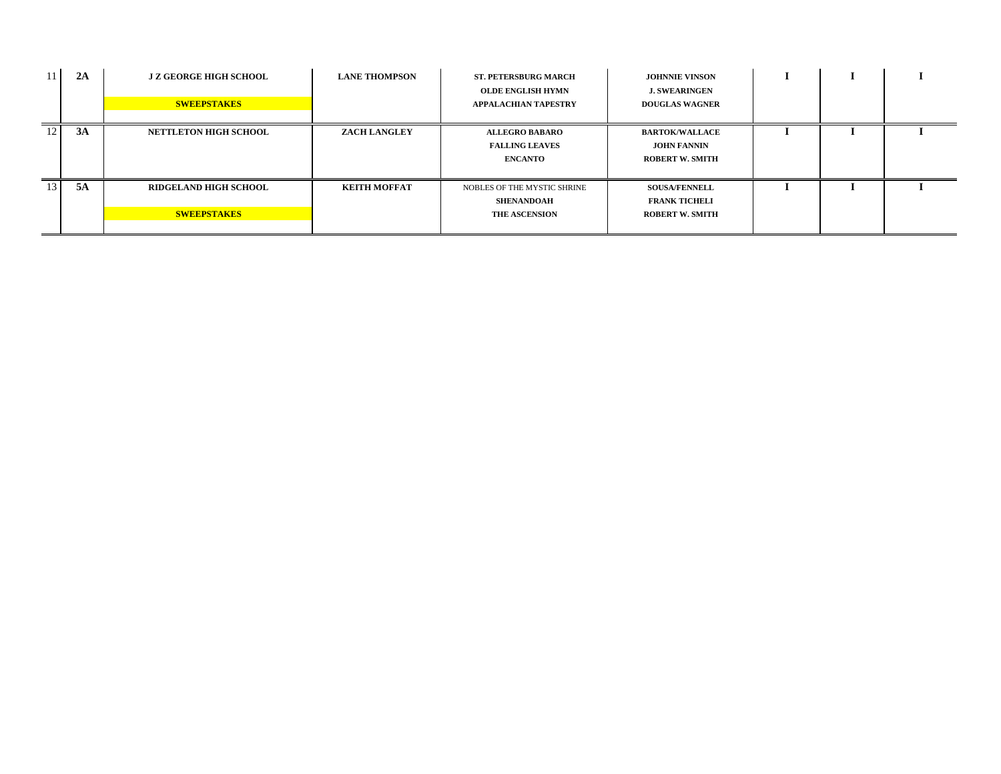| 11              | 2A | J Z GEORGE HIGH SCHOOL<br><b>SWEEPSTAKES</b>       | <b>LANE THOMPSON</b> | ST. PETERSBURG MARCH<br>OLDE ENGLISH HYMN<br>APPALACHIAN TAPESTRY        | <b>JOHNNIE VINSON</b><br><b>J. SWEARINGEN</b><br><b>DOUGLAS WAGNER</b> |  |  |
|-----------------|----|----------------------------------------------------|----------------------|--------------------------------------------------------------------------|------------------------------------------------------------------------|--|--|
| 12 <sub>1</sub> | 3A | <b>NETTLETON HIGH SCHOOL</b>                       | <b>ZACH LANGLEY</b>  | <b>ALLEGRO BABARO</b><br><b>FALLING LEAVES</b><br><b>ENCANTO</b>         | <b>BARTOK/WALLACE</b><br>JOHN FANNIN<br><b>ROBERT W. SMITH</b>         |  |  |
| 13 <sup>1</sup> | 5A | <b>RIDGELAND HIGH SCHOOL</b><br><b>SWEEPSTAKES</b> | KEITH MOFFAT         | NOBLES OF THE MYSTIC SHRINE<br><b>SHENANDOAH</b><br><b>THE ASCENSION</b> | <b>SOUSA/FENNELL</b><br><b>FRANK TICHELI</b><br><b>ROBERT W. SMITH</b> |  |  |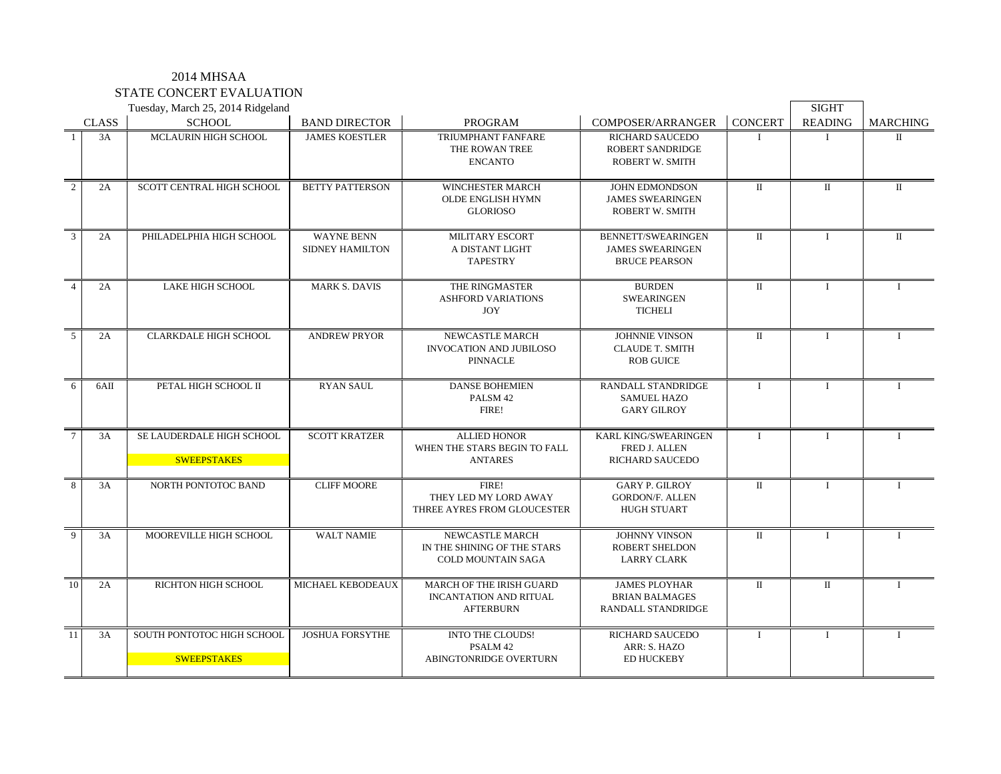### 2014 MHSAA STATE CONCERT EVALUATION

|                 |              | Tuesday, March 25, 2014 Ridgeland                |                                      |                                                                                      |                                                                              |                | <b>SIGHT</b>   |                 |
|-----------------|--------------|--------------------------------------------------|--------------------------------------|--------------------------------------------------------------------------------------|------------------------------------------------------------------------------|----------------|----------------|-----------------|
|                 | <b>CLASS</b> | <b>SCHOOL</b>                                    | <b>BAND DIRECTOR</b>                 | <b>PROGRAM</b>                                                                       | <b>COMPOSER/ARRANGER</b>                                                     | <b>CONCERT</b> | <b>READING</b> | <b>MARCHING</b> |
| -1              | 3A           | <b>MCLAURIN HIGH SCHOOL</b>                      | <b>JAMES KOESTLER</b>                | TRIUMPHANT FANFARE<br>THE ROWAN TREE<br><b>ENCANTO</b>                               | <b>RICHARD SAUCEDO</b><br><b>ROBERT SANDRIDGE</b><br>ROBERT W. SMITH         | T              |                | П               |
| $\overline{2}$  | 2A           | SCOTT CENTRAL HIGH SCHOOL                        | <b>BETTY PATTERSON</b>               | WINCHESTER MARCH<br>OLDE ENGLISH HYMN<br><b>GLORIOSO</b>                             | JOHN EDMONDSON<br><b>JAMES SWEARINGEN</b><br>ROBERT W. SMITH                 | $\rm II$       | $\rm II$       | $\mathbf{I}$    |
| $\overline{3}$  | 2A           | PHILADELPHIA HIGH SCHOOL                         | <b>WAYNE BENN</b><br>SIDNEY HAMILTON | <b>MILITARY ESCORT</b><br>A DISTANT LIGHT<br><b>TAPESTRY</b>                         | <b>BENNETT/SWEARINGEN</b><br><b>JAMES SWEARINGEN</b><br><b>BRUCE PEARSON</b> | $\rm II$       | $\mathbf{I}$   | $\Pi$           |
| $\overline{4}$  | 2A           | <b>LAKE HIGH SCHOOL</b>                          | <b>MARK S. DAVIS</b>                 | THE RINGMASTER<br><b>ASHFORD VARIATIONS</b><br><b>JOY</b>                            | <b>BURDEN</b><br><b>SWEARINGEN</b><br><b>TICHELI</b>                         | $\mathbf{I}$   | $\mathbf{I}$   | $\mathbf{I}$    |
| $\overline{5}$  | 2A           | <b>CLARKDALE HIGH SCHOOL</b>                     | <b>ANDREW PRYOR</b>                  | <b>NEWCASTLE MARCH</b><br>INVOCATION AND JUBILOSO<br><b>PINNACLE</b>                 | <b>JOHNNIE VINSON</b><br><b>CLAUDE T. SMITH</b><br><b>ROB GUICE</b>          | $\Pi$          | $\mathbf{I}$   | $\mathbf{I}$    |
| 6               | 6AII         | PETAL HIGH SCHOOL II                             | <b>RYAN SAUL</b>                     | <b>DANSE BOHEMIEN</b><br>PALSM 42<br>FIRE!                                           | RANDALL STANDRIDGE<br><b>SAMUEL HAZO</b><br><b>GARY GILROY</b>               | $\mathbf{I}$   | $\mathbf{I}$   | $\mathbf{I}$    |
| $7\phantom{.0}$ | 3A           | SE LAUDERDALE HIGH SCHOOL<br><b>SWEEPSTAKES</b>  | <b>SCOTT KRATZER</b>                 | <b>ALLIED HONOR</b><br>WHEN THE STARS BEGIN TO FALL<br><b>ANTARES</b>                | KARL KING/SWEARINGEN<br>FRED J. ALLEN<br><b>RICHARD SAUCEDO</b>              | $\mathbf{I}$   | $\mathbf{I}$   | $\mathbf{I}$    |
| 8               | 3A           | NORTH PONTOTOC BAND                              | <b>CLIFF MOORE</b>                   | FIRE!<br>THEY LED MY LORD AWAY<br>THREE AYRES FROM GLOUCESTER                        | <b>GARY P. GILROY</b><br><b>GORDON/F. ALLEN</b><br><b>HUGH STUART</b>        | $\Pi$          | $\mathbf{I}$   | $\mathbf{I}$    |
| $\overline{9}$  | 3A           | MOOREVILLE HIGH SCHOOL                           | <b>WALT NAMIE</b>                    | NEWCASTLE MARCH<br>IN THE SHINING OF THE STARS<br><b>COLD MOUNTAIN SAGA</b>          | <b>JOHNNY VINSON</b><br><b>ROBERT SHELDON</b><br><b>LARRY CLARK</b>          | $\Pi$          | $\mathbf{I}$   | $\mathbf{I}$    |
| 10              | 2A           | RICHTON HIGH SCHOOL                              | MICHAEL KEBODEAUX                    | <b>MARCH OF THE IRISH GUARD</b><br><b>INCANTATION AND RITUAL</b><br><b>AFTERBURN</b> | <b>JAMES PLOYHAR</b><br><b>BRIAN BALMAGES</b><br>RANDALL STANDRIDGE          | $\Pi$          | $\Pi$          |                 |
| 11              | 3A           | SOUTH PONTOTOC HIGH SCHOOL<br><b>SWEEPSTAKES</b> | <b>JOSHUA FORSYTHE</b>               | <b>INTO THE CLOUDS!</b><br>PSALM 42<br>ABINGTONRIDGE OVERTURN                        | <b>RICHARD SAUCEDO</b><br>ARR: S. HAZO<br><b>ED HUCKEBY</b>                  | $\mathbf{I}$   | $\mathbf{I}$   | $\mathbf{I}$    |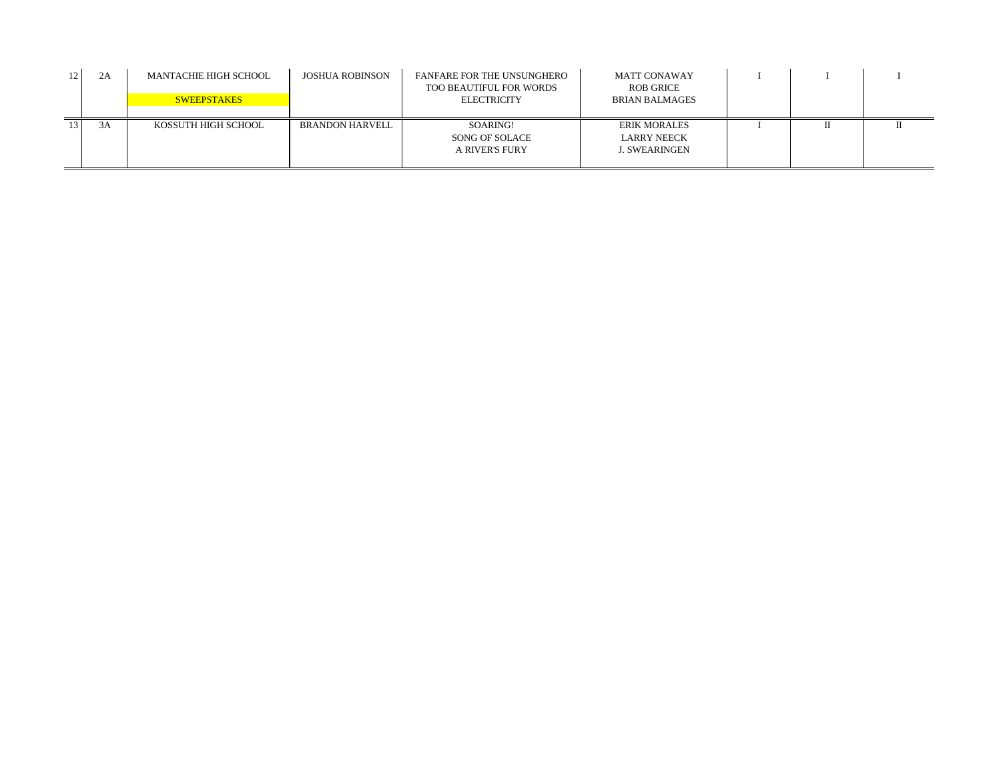| 12 | 2A | MANTACHIE HIGH SCHOOL<br><b>SWEEPSTAKES</b> | <b>JOSHUA ROBINSON</b> | FANFARE FOR THE UNSUNGHERO<br>TOO BEAUTIFUL FOR WORDS<br><b>ELECTRICITY</b> | MATT CONAWAY<br>ROB GRICE<br><b>BRIAN BALMAGES</b>  |  |  |
|----|----|---------------------------------------------|------------------------|-----------------------------------------------------------------------------|-----------------------------------------------------|--|--|
| 13 | 3A | KOSSUTH HIGH SCHOOL                         | BRANDON HARVELL        | SOARING!<br>SONG OF SOLACE<br>A RIVER'S FURY                                | <b>ERIK MORALES</b><br>LARRY NEECK<br>J. SWEARINGEN |  |  |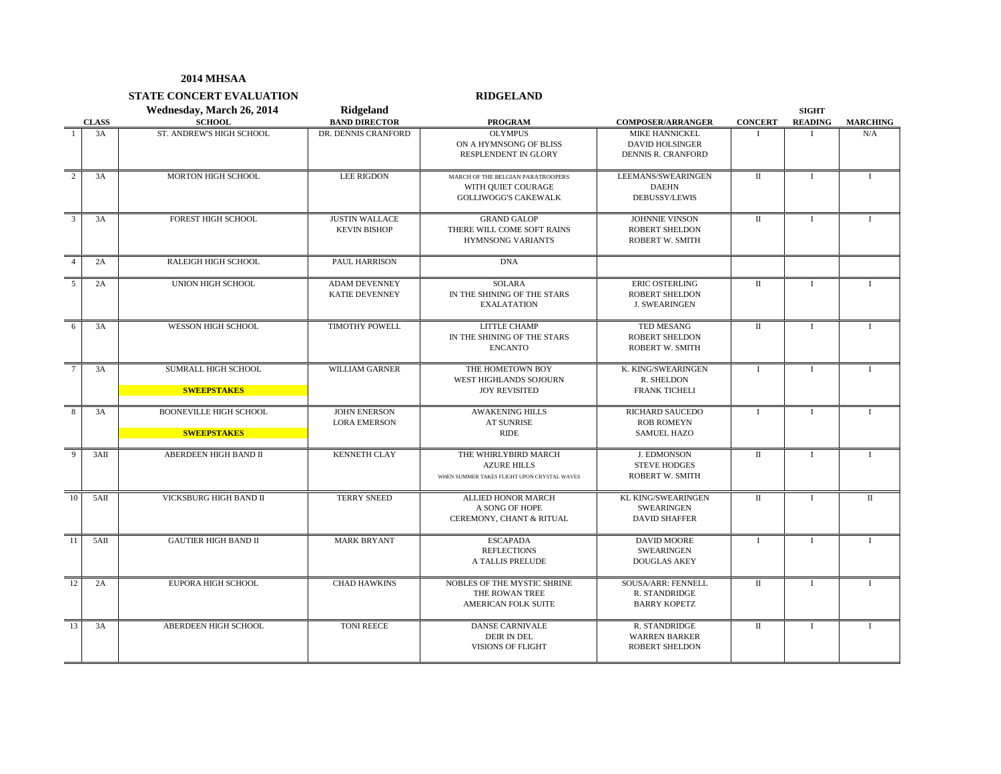**STATE CONCERT EVALUATION RIDGELAND**

|                 | <b>CLASS</b> | Wednesday, March 26, 2014<br><b>SCHOOL</b>          | Ridgeland<br><b>BAND DIRECTOR</b>             | <b>PROGRAM</b>                                                                            | <b>COMPOSER/ARRANGER</b>                                                     | <b>CONCERT</b>       | <b>SIGHT</b><br><b>READING</b> | <b>MARCHING</b> |
|-----------------|--------------|-----------------------------------------------------|-----------------------------------------------|-------------------------------------------------------------------------------------------|------------------------------------------------------------------------------|----------------------|--------------------------------|-----------------|
|                 | 3A           | ST. ANDREW'S HIGH SCHOOL                            | DR. DENNIS CRANFORD                           | <b>OLYMPUS</b><br>ON A HYMNSONG OF BLISS<br><b>RESPLENDENT IN GLORY</b>                   | <b>MIKE HANNICKEL</b><br><b>DAVID HOLSINGER</b><br><b>DENNIS R. CRANFORD</b> |                      |                                | N/A             |
| 2               | 3A           | MORTON HIGH SCHOOL                                  | <b>LEE RIGDON</b>                             | MARCH OF THE BELGIAN PARATROOPERS<br>WITH QUIET COURAGE<br><b>GOLLIWOGG'S CAKEWALK</b>    | LEEMANS/SWEARINGEN<br><b>DAEHN</b><br><b>DEBUSSY/LEWIS</b>                   | $\scriptstyle\rm II$ | $\mathbf{I}$                   | 1               |
| $\overline{3}$  | 3A           | <b>FOREST HIGH SCHOOL</b>                           | <b>JUSTIN WALLACE</b><br><b>KEVIN BISHOP</b>  | <b>GRAND GALOP</b><br>THERE WILL COME SOFT RAINS<br><b>HYMNSONG VARIANTS</b>              | JOHNNIE VINSON<br><b>ROBERT SHELDON</b><br><b>ROBERT W. SMITH</b>            | $\scriptstyle\rm II$ | $\mathbf{I}$                   | 1               |
| $\overline{4}$  | 2A           | RALEIGH HIGH SCHOOL                                 | PAUL HARRISON                                 | <b>DNA</b>                                                                                |                                                                              |                      |                                |                 |
| 5               | 2A           | UNION HIGH SCHOOL                                   | <b>ADAM DEVENNEY</b><br><b>KATIE DEVENNEY</b> | <b>SOLARA</b><br>IN THE SHINING OF THE STARS<br><b>EXALATATION</b>                        | <b>ERIC OSTERLING</b><br><b>ROBERT SHELDON</b><br><b>J. SWEARINGEN</b>       | П                    | $\mathbf{I}$                   | 1               |
| 6               | 3A           | WESSON HIGH SCHOOL                                  | TIMOTHY POWELL                                | LITTLE CHAMP<br>IN THE SHINING OF THE STARS<br><b>ENCANTO</b>                             | TED MESANG<br><b>ROBERT SHELDON</b><br><b>ROBERT W. SMITH</b>                | $\scriptstyle\rm II$ | $\mathbf{I}$                   | L               |
| $7\phantom{.0}$ | 3A           | SUMRALL HIGH SCHOOL<br><b>SWEEPSTAKES</b>           | <b>WILLIAM GARNER</b>                         | THE HOMETOWN BOY<br>WEST HIGHLANDS SOJOURN<br><b>JOY REVISITED</b>                        | K. KING/SWEARINGEN<br>R. SHELDON<br><b>FRANK TICHELI</b>                     | $\bf{I}$             | $\mathbf I$                    | $\bf{I}$        |
| 8               | 3A           | <b>BOONEVILLE HIGH SCHOOL</b><br><b>SWEEPSTAKES</b> | <b>JOHN ENERSON</b><br><b>LORA EMERSON</b>    | <b>AWAKENING HILLS</b><br><b>AT SUNRISE</b><br><b>RIDE</b>                                | RICHARD SAUCEDO<br><b>ROB ROMEYN</b><br><b>SAMUEL HAZO</b>                   | $\mathbf{I}$         | $\mathbf{I}$                   | $\bf{I}$        |
| 9               | 3AII         | ABERDEEN HIGH BAND II                               | <b>KENNETH CLAY</b>                           | THE WHIRLYBIRD MARCH<br><b>AZURE HILLS</b><br>WHEN SUMMER TAKES FLIGHT UPON CRYSTAL WAVES | <b>J. EDMONSON</b><br><b>STEVE HODGES</b><br>ROBERT W. SMITH                 | $\scriptstyle\rm II$ | $\mathbf{I}$                   | T               |
| 10              | 5AII         | VICKSBURG HIGH BAND II                              | <b>TERRY SNEED</b>                            | ALLIED HONOR MARCH<br>A SONG OF HOPE<br>CEREMONY, CHANT & RITUAL                          | <b>KL KING/SWEARINGEN</b><br><b>SWEARINGEN</b><br><b>DAVID SHAFFER</b>       | $\scriptstyle\rm II$ | $\mathbf{I}$                   | $\mathbf{I}$    |
| 11              | 5AII         | <b>GAUTIER HIGH BAND II</b>                         | <b>MARK BRYANT</b>                            | <b>ESCAPADA</b><br><b>REFLECTIONS</b><br>A TALLIS PRELUDE                                 | <b>DAVID MOORE</b><br><b>SWEARINGEN</b><br><b>DOUGLAS AKEY</b>               | $\mathbf{I}$         | $\mathbf{I}$                   | $\mathbf{I}$    |
| 12              | 2A           | EUPORA HIGH SCHOOL                                  | <b>CHAD HAWKINS</b>                           | NOBLES OF THE MYSTIC SHRINE<br>THE ROWAN TREE<br>AMERICAN FOLK SUITE                      | SOUSA/ARR: FENNELL<br>R. STANDRIDGE<br><b>BARRY KOPETZ</b>                   | $\mathbf{I}$         | $\mathbf{I}$                   | $\mathbf{I}$    |
| 13              | 3A           | ABERDEEN HIGH SCHOOL                                | <b>TONI REECE</b>                             | <b>DANSE CARNIVALE</b><br><b>DEIR IN DEL</b><br><b>VISIONS OF FLIGHT</b>                  | R. STANDRIDGE<br><b>WARREN BARKER</b><br><b>ROBERT SHELDON</b>               | П                    | $\mathbf I$                    | $\bf{I}$        |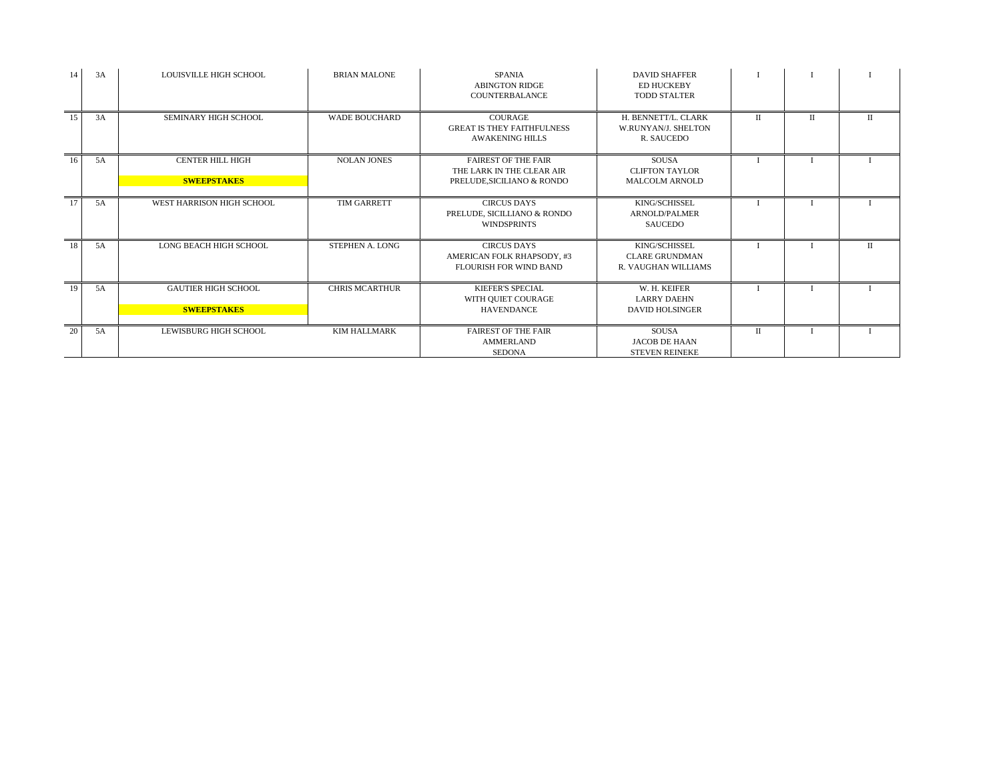| 14 | 3A | <b>LOUISVILLE HIGH SCHOOL</b>                    | <b>BRIAN MALONE</b>   | <b>SPANIA</b><br><b>ABINGTON RIDGE</b><br>COUNTERBALANCE                              | <b>DAVID SHAFFER</b><br><b>ED HUCKEBY</b><br><b>TODD STALTER</b> |   |       |  |
|----|----|--------------------------------------------------|-----------------------|---------------------------------------------------------------------------------------|------------------------------------------------------------------|---|-------|--|
| 15 | 3A | SEMINARY HIGH SCHOOL                             | <b>WADE BOUCHARD</b>  | <b>COURAGE</b><br><b>GREAT IS THEY FAITHFULNESS</b><br><b>AWAKENING HILLS</b>         | H. BENNETT/L. CLARK<br><b>W.RUNYAN/L SHELTON</b><br>R. SAUCEDO   | П | $\Pi$ |  |
| 16 | 5A | <b>CENTER HILL HIGH</b><br><b>SWEEPSTAKES</b>    | <b>NOLAN JONES</b>    | <b>FAIREST OF THE FAIR</b><br>THE LARK IN THE CLEAR AIR<br>PRELUDE, SICILIANO & RONDO | <b>SOUSA</b><br><b>CLIFTON TAYLOR</b><br><b>MALCOLM ARNOLD</b>   |   |       |  |
| 17 | 5A | WEST HARRISON HIGH SCHOOL                        | TIM GARRETT           | <b>CIRCUS DAYS</b><br>PRELUDE, SICILLIANO & RONDO<br><b>WINDSPRINTS</b>               | KING/SCHISSEL<br><b>ARNOLD/PALMER</b><br><b>SAUCEDO</b>          |   |       |  |
| 18 | 5A | <b>LONG BEACH HIGH SCHOOL</b>                    | STEPHEN A. LONG       | <b>CIRCUS DAYS</b><br>AMERICAN FOLK RHAPSODY, #3<br><b>FLOURISH FOR WIND BAND</b>     | KING/SCHISSEL<br><b>CLARE GRUNDMAN</b><br>R. VAUGHAN WILLIAMS    |   |       |  |
| 19 | 5A | <b>GAUTIER HIGH SCHOOL</b><br><b>SWEEPSTAKES</b> | <b>CHRIS MCARTHUR</b> | <b>KIEFER'S SPECIAL</b><br>WITH QUIET COURAGE<br><b>HAVENDANCE</b>                    | W. H. KEIFER<br><b>LARRY DAEHN</b><br><b>DAVID HOLSINGER</b>     |   |       |  |
| 20 | 5A | LEWISBURG HIGH SCHOOL                            | <b>KIM HALLMARK</b>   | <b>FAIREST OF THE FAIR</b><br><b>AMMERLAND</b><br><b>SEDONA</b>                       | <b>SOUSA</b><br><b>JACOB DE HAAN</b><br><b>STEVEN REINEKE</b>    | П |       |  |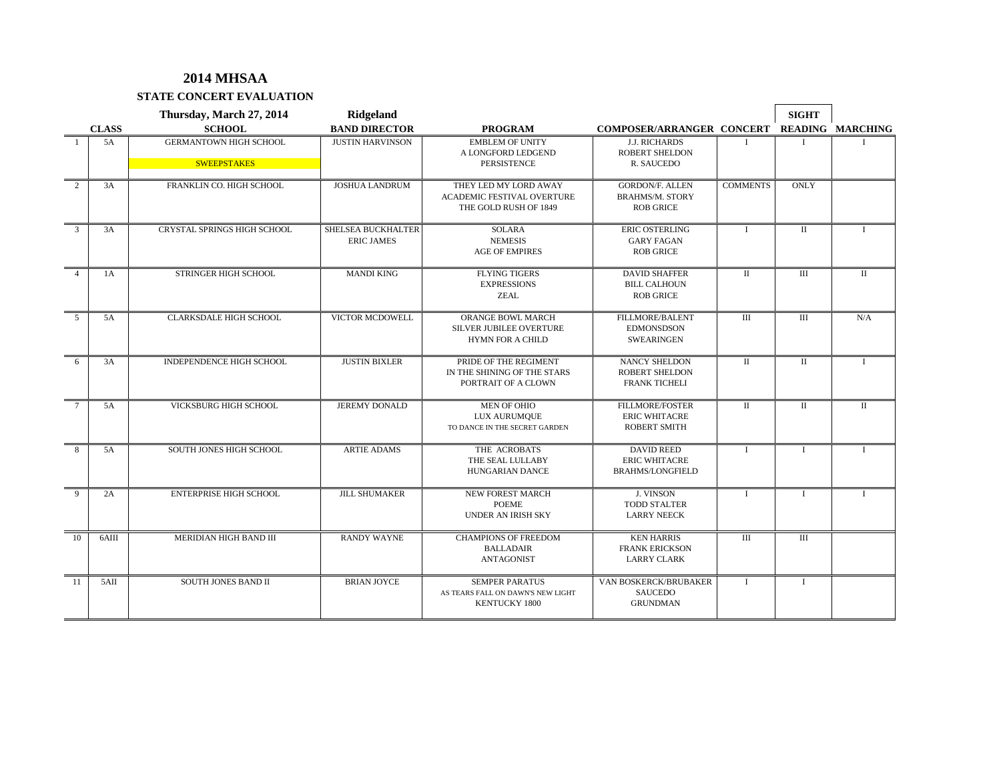**STATE CONCERT EVALUATION**

|                |              | Thursday, March 27, 2014                            | <b>Ridgeland</b>                               |                                                                                    |                                                                       |                             | <b>SIGHT</b>         |                         |
|----------------|--------------|-----------------------------------------------------|------------------------------------------------|------------------------------------------------------------------------------------|-----------------------------------------------------------------------|-----------------------------|----------------------|-------------------------|
|                | <b>CLASS</b> | <b>SCHOOL</b>                                       | <b>BAND DIRECTOR</b>                           | <b>PROGRAM</b>                                                                     | COMPOSER/ARRANGER CONCERT                                             |                             |                      | <b>READING MARCHING</b> |
|                | 5A           | <b>GERMANTOWN HIGH SCHOOL</b><br><b>SWEEPSTAKES</b> | <b>JUSTIN HARVINSON</b>                        | <b>EMBLEM OF UNITY</b><br>A LONGFORD LEDGEND<br>PERSISTENCE                        | <b>J.J. RICHARDS</b><br><b>ROBERT SHELDON</b><br>R. SAUCEDO           |                             |                      |                         |
|                |              |                                                     |                                                |                                                                                    |                                                                       |                             |                      |                         |
| $\overline{2}$ | 3A           | FRANKLIN CO. HIGH SCHOOL                            | <b>JOSHUA LANDRUM</b>                          | THEY LED MY LORD AWAY<br>ACADEMIC FESTIVAL OVERTURE<br>THE GOLD RUSH OF 1849       | <b>GORDON/F. ALLEN</b><br><b>BRAHMS/M. STORY</b><br><b>ROB GRICE</b>  | <b>COMMENTS</b>             | <b>ONLY</b>          |                         |
| 3              | 3A           | <b>CRYSTAL SPRINGS HIGH SCHOOL</b>                  | <b>SHELSEA BUCKHALTER</b><br><b>ERIC JAMES</b> | <b>SOLARA</b><br><b>NEMESIS</b><br><b>AGE OF EMPIRES</b>                           | <b>ERIC OSTERLING</b><br><b>GARY FAGAN</b><br><b>ROB GRICE</b>        |                             | $\mathbf{I}$         |                         |
| $\overline{4}$ | 1A           | STRINGER HIGH SCHOOL                                | <b>MANDI KING</b>                              | <b>FLYING TIGERS</b><br><b>EXPRESSIONS</b><br><b>ZEAL</b>                          | <b>DAVID SHAFFER</b><br><b>BILL CALHOUN</b><br><b>ROB GRICE</b>       | $\rm II$                    | Ш                    | $\mathbf{I}$            |
| 5              | 5A           | <b>CLARKSDALE HIGH SCHOOL</b>                       | VICTOR MCDOWELL                                | ORANGE BOWL MARCH<br>SILVER JUBILEE OVERTURE<br><b>HYMN FOR A CHILD</b>            | FILLMORE/BALENT<br><b>EDMONSDSON</b><br><b>SWEARINGEN</b>             | III                         | III                  | N/A                     |
| 6              | 3A           | <b>INDEPENDENCE HIGH SCHOOL</b>                     | <b>JUSTIN BIXLER</b>                           | PRIDE OF THE REGIMENT<br>IN THE SHINING OF THE STARS<br>PORTRAIT OF A CLOWN        | <b>NANCY SHELDON</b><br><b>ROBERT SHELDON</b><br><b>FRANK TICHELI</b> | $\mathbf{H}$                | $\mathbf{I}$         | Ι                       |
| $\tau$         | 5A           | VICKSBURG HIGH SCHOOL                               | <b>JEREMY DONALD</b>                           | MEN OF OHIO<br>LUX AURUMQUE<br>TO DANCE IN THE SECRET GARDEN                       | FILLMORE/FOSTER<br><b>ERIC WHITACRE</b><br><b>ROBERT SMITH</b>        | $\mathbf{I}$                | $\scriptstyle\rm II$ | $\rm II$                |
| 8              | 5A           | SOUTH JONES HIGH SCHOOL                             | <b>ARTIE ADAMS</b>                             | THE ACROBATS<br>THE SEAL LULLABY<br><b>HUNGARIAN DANCE</b>                         | <b>DAVID REED</b><br><b>ERIC WHITACRE</b><br><b>BRAHMS/LONGFIELD</b>  | $\mathbf{I}$                | $\mathbf{I}$         | $\mathbf{I}$            |
| 9              | 2A           | <b>ENTERPRISE HIGH SCHOOL</b>                       | <b>JILL SHUMAKER</b>                           | <b>NEW FOREST MARCH</b><br><b>POEME</b><br><b>UNDER AN IRISH SKY</b>               | <b>J. VINSON</b><br><b>TODD STALTER</b><br><b>LARRY NEECK</b>         | $\mathbf{I}$                | $\mathbf{I}$         | $\mathbf{I}$            |
| 10             | 6AIII        | MERIDIAN HIGH BAND III                              | <b>RANDY WAYNE</b>                             | <b>CHAMPIONS OF FREEDOM</b><br><b>BALLADAIR</b><br>ANTAGONIST                      | <b>KEN HARRIS</b><br><b>FRANK ERICKSON</b><br><b>LARRY CLARK</b>      | $\mathop{\rm III}\nolimits$ | III                  |                         |
| 11             | 5AII         | <b>SOUTH JONES BAND II</b>                          | <b>BRIAN JOYCE</b>                             | <b>SEMPER PARATUS</b><br>AS TEARS FALL ON DAWN'S NEW LIGHT<br><b>KENTUCKY 1800</b> | VAN BOSKERCK/BRUBAKER<br><b>SAUCEDO</b><br><b>GRUNDMAN</b>            | $\mathbf{I}$                | $\bf{I}$             |                         |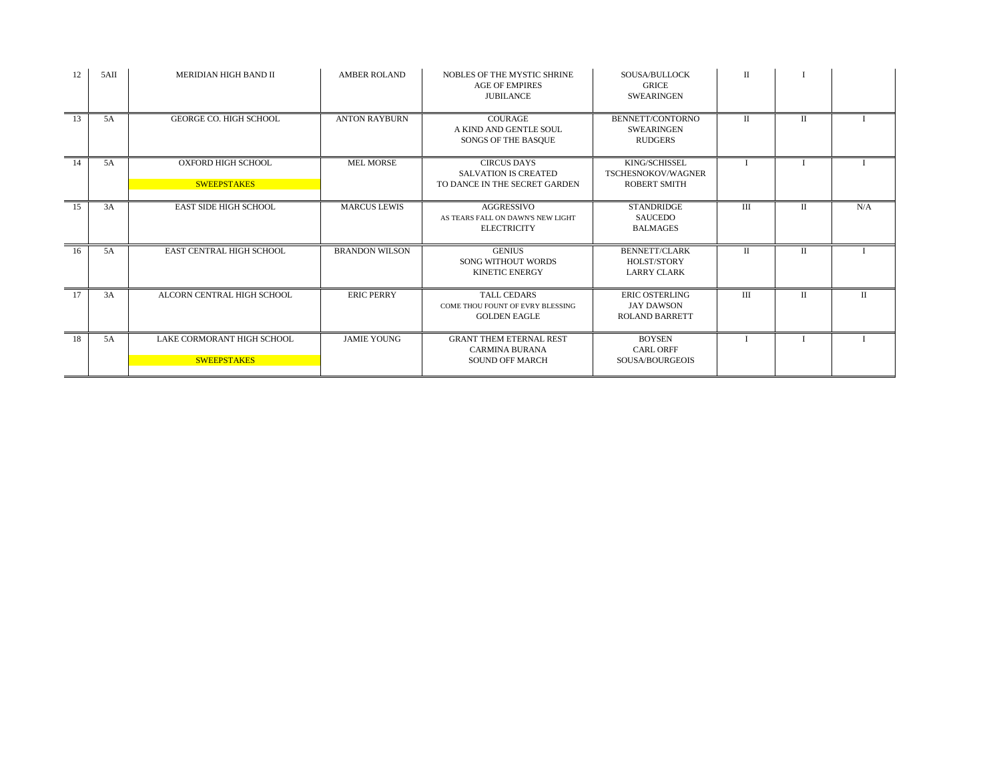| 12 | 5AII | MERIDIAN HIGH BAND II                            | <b>AMBER ROLAND</b>   | NOBLES OF THE MYSTIC SHRINE<br><b>AGE OF EMPIRES</b><br><b>IUBILANCE</b>           | SOUSA/BULLOCK<br><b>GRICE</b><br><b>SWEARINGEN</b>                  | П              |              |              |
|----|------|--------------------------------------------------|-----------------------|------------------------------------------------------------------------------------|---------------------------------------------------------------------|----------------|--------------|--------------|
| 13 | 5A   | <b>GEORGE CO. HIGH SCHOOL</b>                    | <b>ANTON RAYBURN</b>  | <b>COURAGE</b><br>A KIND AND GENTLE SOUL<br>SONGS OF THE BASQUE                    | BENNETT/CONTORNO<br><b>SWEARINGEN</b><br><b>RUDGERS</b>             | $\Pi$          | П            |              |
| 14 | 5A   | <b>OXFORD HIGH SCHOOL</b><br><b>SWEEPSTAKES</b>  | <b>MEL MORSE</b>      | <b>CIRCUS DAYS</b><br><b>SALVATION IS CREATED</b><br>TO DANCE IN THE SECRET GARDEN | KING/SCHISSEL<br>TSCHESNOKOV/WAGNER<br><b>ROBERT SMITH</b>          |                |              |              |
| 15 | 3A   | <b>EAST SIDE HIGH SCHOOL</b>                     | <b>MARCUS LEWIS</b>   | AGGRESSIVO<br>AS TEARS FALL ON DAWN'S NEW LIGHT<br><b>ELECTRICITY</b>              | <b>STANDRIDGE</b><br><b>SAUCEDO</b><br><b>BALMAGES</b>              | Ш              | П            | N/A          |
| 16 | 5A   | <b>EAST CENTRAL HIGH SCHOOL</b>                  | <b>BRANDON WILSON</b> | <b>GENIUS</b><br>SONG WITHOUT WORDS<br><b>KINETIC ENERGY</b>                       | <b>BENNETT/CLARK</b><br>HOLST/STORY<br><b>LARRY CLARK</b>           | П              | П            |              |
| 17 | 3A   | ALCORN CENTRAL HIGH SCHOOL                       | <b>ERIC PERRY</b>     | <b>TALL CEDARS</b><br>COME THOU FOUNT OF EVRY BLESSING<br><b>GOLDEN EAGLE</b>      | <b>ERIC OSTERLING</b><br><b>JAY DAWSON</b><br><b>ROLAND BARRETT</b> | $\mathbf{III}$ | $\mathbf{H}$ | $\mathbf{I}$ |
| 18 | 5A   | LAKE CORMORANT HIGH SCHOOL<br><b>SWEEPSTAKES</b> | <b>JAMIE YOUNG</b>    | <b>GRANT THEM ETERNAL REST</b><br><b>CARMINA BURANA</b><br><b>SOUND OFF MARCH</b>  | <b>BOYSEN</b><br><b>CARL ORFF</b><br>SOUSA/BOURGEOIS                |                |              |              |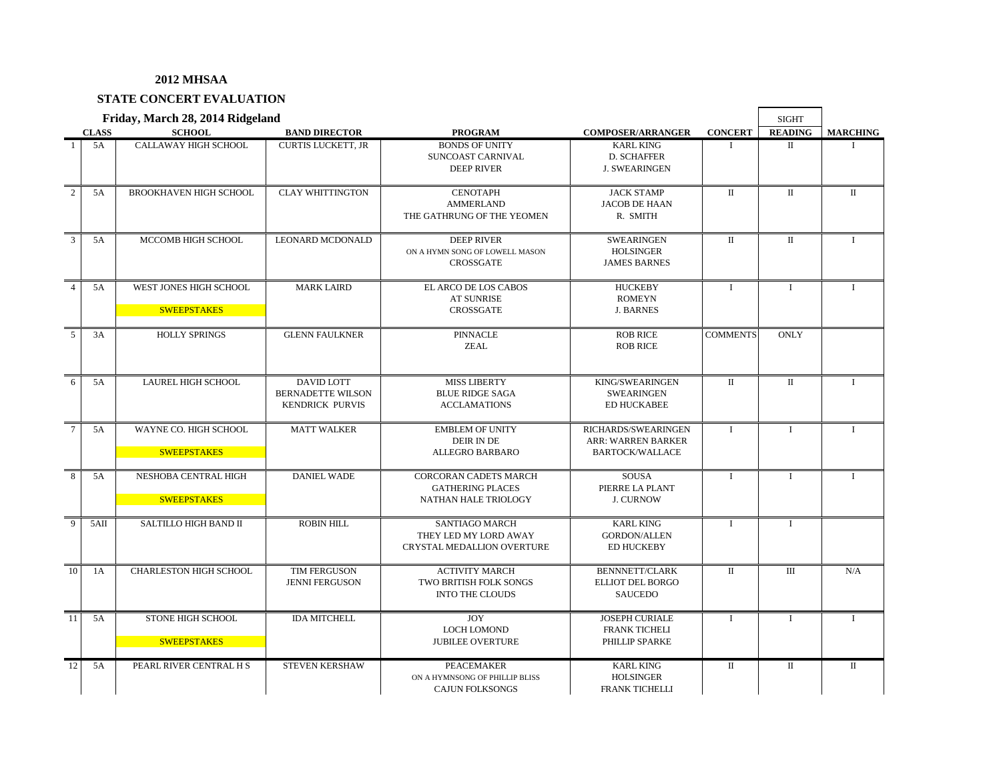## **STATE CONCERT EVALUATION**

|                |              | Friday, March 28, 2014 Ridgeland             |                                                                  |                                                                                 |                                                                     |                 | <b>SIGHT</b>   |                 |
|----------------|--------------|----------------------------------------------|------------------------------------------------------------------|---------------------------------------------------------------------------------|---------------------------------------------------------------------|-----------------|----------------|-----------------|
|                | <b>CLASS</b> | <b>SCHOOL</b>                                | <b>BAND DIRECTOR</b>                                             | <b>PROGRAM</b>                                                                  | <b>COMPOSER/ARRANGER</b>                                            | <b>CONCERT</b>  | <b>READING</b> | <b>MARCHING</b> |
| $\mathbf{1}$   | 5A           | CALLAWAY HIGH SCHOOL                         | <b>CURTIS LUCKETT, JR</b>                                        | <b>BONDS OF UNITY</b><br>SUNCOAST CARNIVAL<br><b>DEEP RIVER</b>                 | <b>KARL KING</b><br>D. SCHAFFER<br><b>J. SWEARINGEN</b>             | $\mathbf{I}$    | $\mathbf{I}$   |                 |
| $\overline{2}$ | 5A           | <b>BROOKHAVEN HIGH SCHOOL</b>                | <b>CLAY WHITTINGTON</b>                                          | <b>CENOTAPH</b><br><b>AMMERLAND</b><br>THE GATHRUNG OF THE YEOMEN               | <b>JACK STAMP</b><br><b>JACOB DE HAAN</b><br>R. SMITH               | $\mathbf{I}$    | $\mathbf I$    | $\rm II$        |
| 3              | 5A           | MCCOMB HIGH SCHOOL                           | <b>LEONARD MCDONALD</b>                                          | <b>DEEP RIVER</b><br>ON A HYMN SONG OF LOWELL MASON<br><b>CROSSGATE</b>         | <b>SWEARINGEN</b><br><b>HOLSINGER</b><br><b>JAMES BARNES</b>        | $\mathbf{I}$    | $\mathbf{I}$   | $\mathbf{I}$    |
| $\overline{4}$ | 5A           | WEST JONES HIGH SCHOOL<br><b>SWEEPSTAKES</b> | <b>MARK LAIRD</b>                                                | EL ARCO DE LOS CABOS<br><b>AT SUNRISE</b><br><b>CROSSGATE</b>                   | <b>HUCKEBY</b><br><b>ROMEYN</b><br><b>J. BARNES</b>                 | $\mathbf{I}$    | $\mathbf{I}$   | $\mathbf{I}$    |
| 5              | 3A           | <b>HOLLY SPRINGS</b>                         | <b>GLENN FAULKNER</b>                                            | <b>PINNACLE</b><br><b>ZEAL</b>                                                  | <b>ROB RICE</b><br><b>ROB RICE</b>                                  | <b>COMMENTS</b> | <b>ONLY</b>    |                 |
| 6              | 5A           | LAUREL HIGH SCHOOL                           | DAVID LOTT<br><b>BERNADETTE WILSON</b><br><b>KENDRICK PURVIS</b> | <b>MISS LIBERTY</b><br><b>BLUE RIDGE SAGA</b><br><b>ACCLAMATIONS</b>            | KING/SWEARINGEN<br><b>SWEARINGEN</b><br><b>ED HUCKABEE</b>          | $\mathbf{I}$    | $\mathbf{I}$   | $\mathbf{I}$    |
| $\tau$         | 5A           | WAYNE CO. HIGH SCHOOL<br><b>SWEEPSTAKES</b>  | <b>MATT WALKER</b>                                               | <b>EMBLEM OF UNITY</b><br>DEIR IN DE<br><b>ALLEGRO BARBARO</b>                  | RICHARDS/SWEARINGEN<br>ARR: WARREN BARKER<br><b>BARTOCK/WALLACE</b> | $\mathbf{I}$    | $\mathbf{I}$   | $\mathbf{I}$    |
| 8              | 5A           | NESHOBA CENTRAL HIGH<br><b>SWEEPSTAKES</b>   | <b>DANIEL WADE</b>                                               | <b>CORCORAN CADETS MARCH</b><br><b>GATHERING PLACES</b><br>NATHAN HALE TRIOLOGY | <b>SOUSA</b><br>PIERRE LA PLANT<br><b>J. CURNOW</b>                 | $\mathbf I$     | $\mathbf I$    | $\mathbf{I}$    |
| 9              | 5AII         | SALTILLO HIGH BAND II                        | <b>ROBIN HILL</b>                                                | <b>SANTIAGO MARCH</b><br>THEY LED MY LORD AWAY<br>CRYSTAL MEDALLION OVERTURE    | <b>KARL KING</b><br><b>GORDON/ALLEN</b><br><b>ED HUCKEBY</b>        | $\mathbf{I}$    | $\mathbf{I}$   |                 |
| 10             | 1A           | <b>CHARLESTON HIGH SCHOOL</b>                | TIM FERGUSON<br><b>JENNI FERGUSON</b>                            | <b>ACTIVITY MARCH</b><br>TWO BRITISH FOLK SONGS<br><b>INTO THE CLOUDS</b>       | <b>BENNNETT/CLARK</b><br><b>ELLIOT DEL BORGO</b><br><b>SAUCEDO</b>  | $\Pi$           | $\mathbf{H}$   | N/A             |
| 11             | 5A           | STONE HIGH SCHOOL<br><b>SWEEPSTAKES</b>      | <b>IDA MITCHELL</b>                                              | <b>JOY</b><br><b>LOCH LOMOND</b><br><b>JUBILEE OVERTURE</b>                     | <b>JOSEPH CURIALE</b><br><b>FRANK TICHELI</b><br>PHILLIP SPARKE     | $\mathbf{I}$    | $\mathbf{I}$   | $\mathbf{I}$    |
| 12             | 5A           | PEARL RIVER CENTRAL H S                      | <b>STEVEN KERSHAW</b>                                            | PEACEMAKER<br>ON A HYMNSONG OF PHILLIP BLISS<br><b>CAJUN FOLKSONGS</b>          | <b>KARL KING</b><br><b>HOLSINGER</b><br><b>FRANK TICHELLI</b>       | П               | $\mathbf{I}$   | $\mathbf{I}$    |